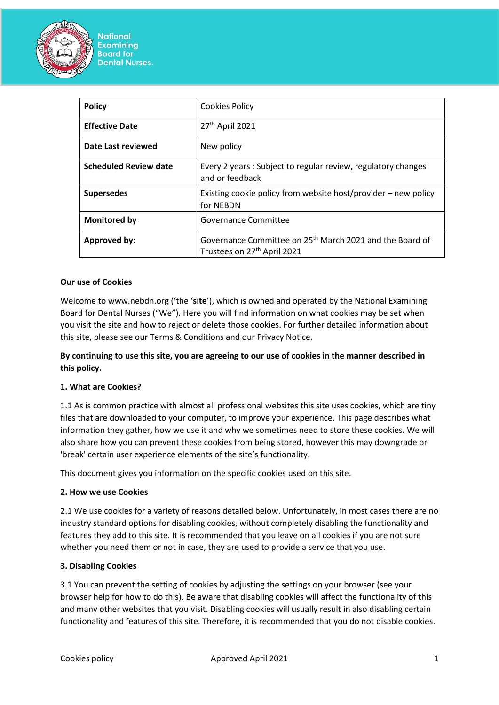

**National Examining Board for Dental Nurses.** 

| <b>Policy</b>                | Cookies Policy                                                                                                  |
|------------------------------|-----------------------------------------------------------------------------------------------------------------|
| <b>Effective Date</b>        | 27 <sup>th</sup> April 2021                                                                                     |
| Date Last reviewed           | New policy                                                                                                      |
| <b>Scheduled Review date</b> | Every 2 years: Subject to regular review, regulatory changes<br>and or feedback                                 |
| <b>Supersedes</b>            | Existing cookie policy from website host/provider – new policy<br>for NEBDN                                     |
| <b>Monitored by</b>          | Governance Committee                                                                                            |
| <b>Approved by:</b>          | Governance Committee on 25 <sup>th</sup> March 2021 and the Board of<br>Trustees on 27 <sup>th</sup> April 2021 |

## **Our use of Cookies**

Welcome to www.nebdn.org ('the '**site**'), which is owned and operated by the National Examining Board for Dental Nurses ("We"). Here you will find information on what cookies may be set when you visit the site and how to reject or delete those cookies. For further detailed information about this site, please see our Terms & Conditions and our [Privacy Notice.](https://www.nebdn.org/privacy-centre/)

# **By continuing to use this site, you are agreeing to our use of cookies in the manner described in this policy.**

#### **1. What are Cookies?**

1.1 As is common practice with almost all professional websites this site uses cookies, which are tiny files that are downloaded to your computer, to improve your experience. This page describes what information they gather, how we use it and why we sometimes need to store these cookies. We will also share how you can prevent these cookies from being stored, however this may downgrade or 'break' certain user experience elements of the site's functionality.

This document gives you information on the specific cookies used on this site.

#### **2. How we use Cookies**

2.1 We use cookies for a variety of reasons detailed below. Unfortunately, in most cases there are no industry standard options for disabling cookies, without completely disabling the functionality and features they add to this site. It is recommended that you leave on all cookies if you are not sure whether you need them or not in case, they are used to provide a service that you use.

#### **3. Disabling Cookies**

3.1 You can prevent the setting of cookies by adjusting the settings on your browser (see your browser help for how to do this). Be aware that disabling cookies will affect the functionality of this and many other websites that you visit. Disabling cookies will usually result in also disabling certain functionality and features of this site. Therefore, it is recommended that you do not disable cookies.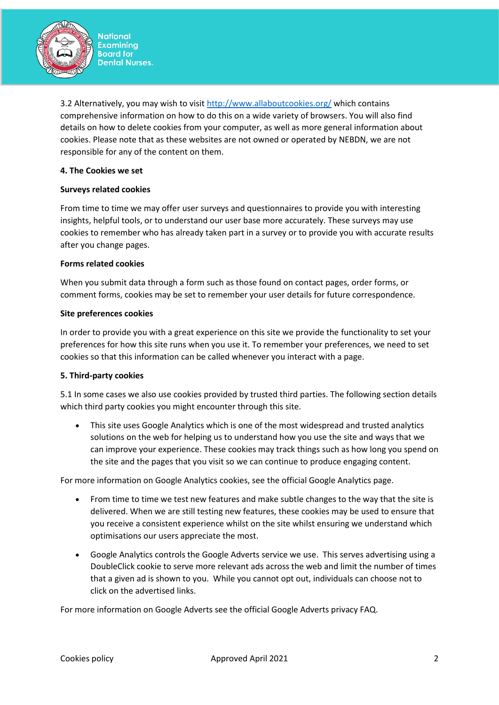

3.2 Alternatively, you may wish to visit <http://www.allaboutcookies.org/> which contains comprehensive information on how to do this on a wide variety of browsers. You will also find details on how to delete cookies from your computer, as well as more general information about cookies. Please note that as these websites are not owned or operated by NEBDN, we are not responsible for any of the content on them.

### **4. The Cookies we set**

#### **Surveys related cookies**

From time to time we may offer user surveys and questionnaires to provide you with interesting insights, helpful tools, or to understand our user base more accurately. These surveys may use cookies to remember who has already taken part in a survey or to provide you with accurate results after you change pages.

#### **Forms related cookies**

When you submit data through a form such as those found on contact pages, order forms, or comment forms, cookies may be set to remember your user details for future correspondence.

#### **Site preferences cookies**

In order to provide you with a great experience on this site we provide the functionality to set your preferences for how this site runs when you use it. To remember your preferences, we need to set cookies so that this information can be called whenever you interact with a page.

#### **5. Third-party cookies**

5.1 In some cases we also use cookies provided by trusted third parties. The following section details which third party cookies you might encounter through this site.

• This site uses Google Analytics which is one of the most widespread and trusted analytics solutions on the web for helping us to understand how you use the site and ways that we can improve your experience. These cookies may track things such as how long you spend on the site and the pages that you visit so we can continue to produce engaging content.

For more information on Google Analytics cookies, see the official Google Analytics page.

- From time to time we test new features and make subtle changes to the way that the site is delivered. When we are still testing new features, these cookies may be used to ensure that you receive a consistent experience whilst on the site whilst ensuring we understand which optimisations our users appreciate the most.
- Google Analytics controls the Google Adverts service we use. This serves advertising using a DoubleClick cookie to serve more relevant ads across the web and limit the number of times that a given ad is shown to you. While you cannot opt out, individuals can choose not to click on the advertised links.

For more information on Google Adverts see the official Google Adverts privacy FAQ.